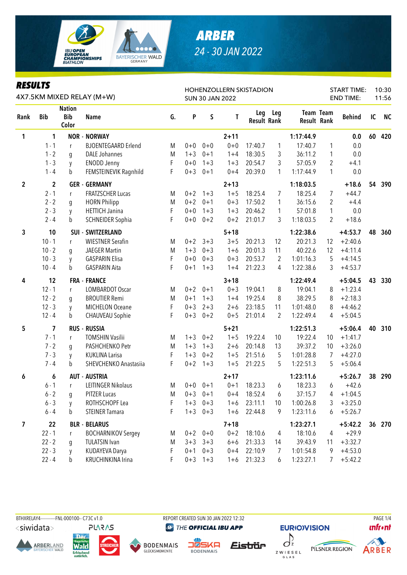

## *ARBER 24 - 30 JAN 2022*

| <b>RESULTS</b><br>4X7.5KM MIXED RELAY (M+W) |                |                                      |                            |    |         |           | <b>SUN 30 JAN 2022</b> | HOHENZOLLERN SKISTADION   |     |                    | <b>START TIME:</b><br><b>END TIME:</b> |               | 10:30<br>11:56 |           |
|---------------------------------------------|----------------|--------------------------------------|----------------------------|----|---------|-----------|------------------------|---------------------------|-----|--------------------|----------------------------------------|---------------|----------------|-----------|
| Rank                                        | <b>Bib</b>     | <b>Nation</b><br><b>Bib</b><br>Color | <b>Name</b>                | G. | P       | S         | T                      | Leg<br><b>Result Rank</b> | Leg | <b>Result Rank</b> | <b>Team Team</b>                       | <b>Behind</b> | IC             | <b>NC</b> |
| 1                                           | 1              |                                      | <b>NOR - NORWAY</b>        |    |         |           | $2 + 11$               |                           |     | 1:17:44.9          |                                        | 0.0           | 60             | 420       |
|                                             | $1 - 1$        | r                                    | <b>BJOENTEGAARD Erlend</b> | M  | $0 + 0$ | $0 + 0$   | $0 + 0$                | 17:40.7                   | 1   | 17:40.7            | 1                                      | 0.0           |                |           |
|                                             | $1 - 2$        | g                                    | <b>DALE Johannes</b>       | M  | $1 + 3$ | $0 + 1$   | $1 + 4$                | 18:30.5                   | 3   | 36:11.2            | 1                                      | 0.0           |                |           |
|                                             | $1 - 3$        | y                                    | <b>ENODD Jenny</b>         | F  | $0 + 0$ | $1 + 3$   | $1 + 3$                | 20:54.7                   | 3   | 57:05.9            | 2                                      | $+4.1$        |                |           |
|                                             | $1 - 4$        | b                                    | FEMSTEINEVIK Ragnhild      | F  | $0 + 3$ | $0 + 1$   | $0 + 4$                | 20:39.0                   | 1   | 1:17:44.9          | $\mathbf{1}$                           | 0.0           |                |           |
| $\overline{2}$                              | $\overline{2}$ |                                      | <b>GER - GERMANY</b>       |    |         |           | $2 + 13$               |                           |     | 1:18:03.5          |                                        | $+18.6$       | 54             | 390       |
|                                             | $2 - 1$        | r                                    | <b>FRATZSCHER Lucas</b>    | M  | $0 + 2$ | $1 + 3$   | $1 + 5$                | 18:25.4                   | 7   | 18:25.4            | 7                                      | $+44.7$       |                |           |
|                                             | $2 - 2$        | q                                    | <b>HORN Philipp</b>        | M  | $0 + 2$ | $0 + 1$   | $0 + 3$                | 17:50.2                   | 1   | 36:15.6            | 2                                      | $+4.4$        |                |           |
|                                             | $2 - 3$        | y                                    | <b>HETTICH Janina</b>      | F  | $0 + 0$ | $1 + 3$   | $1 + 3$                | 20:46.2                   | 1   | 57:01.8            | $\mathbf{1}$                           | 0.0           |                |           |
|                                             | $2 - 4$        | b                                    | <b>SCHNEIDER Sophia</b>    | F  | $0 + 0$ | $0 + 2$   | $0 + 2$                | 21:01.7                   | 3   | 1:18:03.5          | 2                                      | $+18.6$       |                |           |
| $\mathbf{3}$                                | 10             |                                      | <b>SUI - SWITZERLAND</b>   |    |         |           | $5 + 18$               |                           |     | 1:22:38.6          |                                        | $+4:53.7$     | 48             | 360       |
|                                             | $10 - 1$       | r                                    | <b>WIESTNER Serafin</b>    | M  | $0 + 2$ | $3 + 3$   | $3 + 5$                | 20:21.3                   | 12  | 20:21.3            | 12                                     | $+2:40.6$     |                |           |
|                                             | $10 - 2$       | q                                    | <b>JAEGER Martin</b>       | M  | $1 + 3$ | $0 + 3$   | $1 + 6$                | 20:01.3                   | 11  | 40:22.6            | 12                                     | $+4:11.4$     |                |           |
|                                             | $10 - 3$       | y                                    | <b>GASPARIN Elisa</b>      | F  | $0 + 0$ | $0 + 3$   | $0 + 3$                | 20:53.7                   | 2   | 1:01:16.3          | 5                                      | $+4:14.5$     |                |           |
|                                             | $10 - 4$       | b                                    | <b>GASPARIN Aita</b>       | F  | $0 + 1$ | $1 + 3$   | $1 + 4$                | 21:22.3                   | 4   | 1:22:38.6          | 3                                      | $+4:53.7$     |                |           |
| 4                                           | 12             |                                      | <b>FRA - FRANCE</b>        |    |         |           | $3 + 18$               |                           |     | 1:22:49.4          |                                        | $+5:04.5$     | 43             | 330       |
|                                             | $12 - 1$       | r                                    | LOMBARDOT Oscar            | M  | $0 + 2$ | $0 + 1$   | $0 + 3$                | 19:04.1                   | 8   | 19:04.1            | 8                                      | $+1:23.4$     |                |           |
|                                             | $12 - 2$       | g                                    | <b>BROUTIER Remi</b>       | M  | $0 + 1$ | $1 + 3$   | $1 + 4$                | 19:25.4                   | 8   | 38:29.5            | 8                                      | $+2:18.3$     |                |           |
|                                             | $12 - 3$       | y                                    | <b>MICHELON Oceane</b>     | F  | $0 + 3$ | $2 + 3$   | $2 + 6$                | 23:18.5                   | 11  | 1:01:48.0          | 8                                      | $+4:46.2$     |                |           |
|                                             | $12 - 4$       | b                                    | <b>CHAUVEAU Sophie</b>     | F  | $0 + 3$ | $0 + 2$   | $0 + 5$                | 21:01.4                   | 2   | 1:22:49.4          | 4                                      | $+5:04.5$     |                |           |
| 5                                           | 7              |                                      | <b>RUS - RUSSIA</b>        |    |         |           | $5 + 21$               |                           |     | 1:22:51.3          |                                        | $+5:06.4$     | 40             | 310       |
|                                             | $7 - 1$        | r                                    | <b>TOMSHIN Vasilii</b>     | M  | $1 + 3$ | $0 + 2$   | $1 + 5$                | 19:22.4                   | 10  | 19:22.4            | 10 <sup>°</sup>                        | $+1:41.7$     |                |           |
|                                             | $7 - 2$        | q                                    | PASHCHENKO Petr            | M  | $1 + 3$ | $1 + 3$   | $2 + 6$                | 20:14.8                   | 13  | 39:37.2            | 10                                     | $+3:26.0$     |                |           |
|                                             | $7 - 3$        | y                                    | <b>KUKLINA Larisa</b>      | F  | $1 + 3$ | $0 + 2$   | $1 + 5$                | 21:51.6                   | 5   | 1:01:28.8          | 7                                      | $+4:27.0$     |                |           |
|                                             | $7 - 4$        | $\mathbf b$                          | SHEVCHENKO Anastasiia      | F  | $0 + 2$ | $1 + 3$   | $1 + 5$                | 21:22.5                   | 5   | 1:22:51.3          | 5                                      | $+5:06.4$     |                |           |
| 6                                           | 6              |                                      | <b>AUT - AUSTRIA</b>       |    |         |           | $2 + 17$               |                           |     | 1:23:11.6          |                                        | $+5:26.7$     | 38             | 290       |
|                                             | $6 - 1$        | r                                    | <b>LEITINGER Nikolaus</b>  | M  | $0+0$   | $0 + 1$   | $0 + 1$                | 18:23.3                   | 6   | 18:23.3            | 6                                      | $+42.6$       |                |           |
|                                             | $6 - 2$        | g                                    | <b>PITZER Lucas</b>        | Μ  | $0 + 3$ | $0 + 1$   | $0 + 4$                | 18:52.4                   | 6   | 37:15.7            | 4                                      | $+1:04.5$     |                |           |
|                                             | $6 - 3$        | y                                    | ROTHSCHOPF Lea             | F  | $1 + 3$ | $0 + 3$   | $1 + 6$                | 23:11.1                   | 10  | 1:00:26.8          | 3                                      | $+3:25.0$     |                |           |
|                                             | $6 - 4$        | b                                    | <b>STEINER Tamara</b>      | F  | $1 + 3$ | $0 + 3$   | $1 + 6$                | 22:44.8                   | 9   | 1:23:11.6          | 6                                      | $+5:26.7$     |                |           |
| $\overline{7}$                              | 22             |                                      | <b>BLR - BELARUS</b>       |    |         |           | $7 + 18$               |                           |     | 1:23:27.1          |                                        | $+5:42.2$     | 36             | 270       |
|                                             | $22 - 1$       | r                                    | <b>BOCHARNIKOV Sergey</b>  | M  | $0 + 2$ | $0 + 0$   | $0 + 2$                | 18:10.6                   | 4   | 18:10.6            | 4                                      | $+29.9$       |                |           |
|                                             | $22 - 2$       | g                                    | <b>TULATSIN Ivan</b>       | Μ  | $3 + 3$ | $3 + 3$   | $6 + 6$                | 21:33.3                   | 14  | 39:43.9            | 11                                     | $+3:32.7$     |                |           |
|                                             | $22 - 3$       | y                                    | KUDAYEVA Darya             | F  | $0 + 1$ | $0 + 3$   | $0 + 4$                | 22:10.9                   | 7   | 1:01:54.8          | 9                                      | $+4:53.0$     |                |           |
|                                             | $22 - 4$       | b                                    | KRUCHINKINA Irina          | F  |         | $0+3$ 1+3 | $1 + 6$                | 21:32.3                   | 6   | 1:23:27.1          | 7                                      | $+5:42.2$     |                |           |



THE OFFICIAL IBU APP

**EURIO)VISION** 

















**unfront**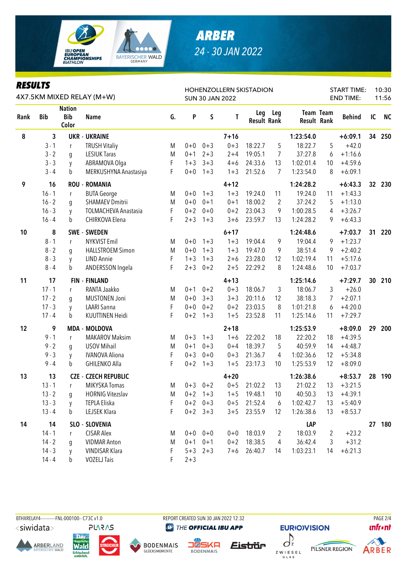

## **ARBER** 24 - 30 JAN 2022

| <b>RESULTS</b><br>4X7.5KM MIXED RELAY (M+W) |            |                                      |                             |    |         |             | <b>SUN 30 JAN 2022</b> | <b>HOHENZOLLERN SKISTADION</b> |                |                    | <b>START TIME:</b><br><b>END TIME:</b> |               |                 | 10:30<br>11:56 |
|---------------------------------------------|------------|--------------------------------------|-----------------------------|----|---------|-------------|------------------------|--------------------------------|----------------|--------------------|----------------------------------------|---------------|-----------------|----------------|
| Rank                                        | <b>Bib</b> | <b>Nation</b><br><b>Bib</b><br>Color | <b>Name</b>                 | G. | P       | S           | T                      | <b>Result Rank</b>             | Leg Leg        | <b>Result Rank</b> | <b>Team Team</b>                       | <b>Behind</b> | IC              | <b>NC</b>      |
| 8                                           | 3          |                                      | <b>UKR - UKRAINE</b>        |    |         |             | $7 + 16$               |                                |                | 1:23:54.0          |                                        | $+6:09.1$     | 34              | 250            |
|                                             | $3 - 1$    | r                                    | <b>TRUSH Vitaliy</b>        | M  | $0 + 0$ | $0 + 3$     | $0 + 3$                | 18:22.7                        | 5              | 18:22.7            | 5                                      | $+42.0$       |                 |                |
|                                             | $3 - 2$    | g                                    | <b>LESIUK Taras</b>         | M  | $0 + 1$ | $2 + 3$     | $2 + 4$                | 19:05.1                        | 7              | 37:27.8            | 6                                      | $+1:16.6$     |                 |                |
|                                             | $3 - 3$    | y                                    | ABRAMOVA Olga               | F  | $1 + 3$ | $3 + 3$     | $4 + 6$                | 24:33.6                        | 13             | 1:02:01.4          | 10                                     | $+4:59.6$     |                 |                |
|                                             | $3 - 4$    | b                                    | MERKUSHYNA Anastasiya       | F  | $0 + 0$ | $1 + 3$     | $1 + 3$                | 21:52.6                        | 7              | 1:23:54.0          | 8                                      | $+6:09.1$     |                 |                |
| 9                                           | 16         |                                      | <b>ROU - ROMANIA</b>        |    |         |             | $4 + 12$               |                                |                | 1:24:28.2          |                                        | $+6:43.3$     | 32 <sub>2</sub> | 230            |
|                                             | $16 - 1$   | r                                    | <b>BUTA George</b>          | M  | $0+0$   | $1 + 3$     | $1 + 3$                | 19:24.0                        | 11             | 19:24.0            | 11                                     | $+1:43.3$     |                 |                |
|                                             | $16 - 2$   | g                                    | <b>SHAMAEV Dmitrii</b>      | M  | $0 + 0$ | $0 + 1$     | $0 + 1$                | 18:00.2                        | 2              | 37:24.2            | 5                                      | $+1:13.0$     |                 |                |
|                                             | $16 - 3$   | y                                    | <b>TOLMACHEVA Anastasia</b> | F  | $0 + 2$ | $0 + 0$     | $0 + 2$                | 23:04.3                        | 9              | 1:00:28.5          | 4                                      | $+3:26.7$     |                 |                |
|                                             | $16 - 4$   | b                                    | CHIRKOVA Elena              | F  | $2 + 3$ | $1 + 3$     | $3 + 6$                | 23:59.7                        | 13             | 1:24:28.2          | 9                                      | $+6:43.3$     |                 |                |
| 10                                          | 8          |                                      | <b>SWE - SWEDEN</b>         |    |         |             | $6 + 17$               |                                |                | 1:24:48.6          |                                        | $+7:03.7$     | 31              | 220            |
|                                             | $8 - 1$    | r                                    | <b>NYKVIST Emil</b>         | M  | $0 + 0$ | $1 + 3$     | $1 + 3$                | 19:04.4                        | 9              | 19:04.4            | 9                                      | $+1:23.7$     |                 |                |
|                                             | $8 - 2$    | g                                    | <b>HALLSTROEM Simon</b>     | M  | $0 + 0$ | $1 + 3$     | $1 + 3$                | 19:47.0                        | 9              | 38:51.4            | 9                                      | $+2:40.2$     |                 |                |
|                                             | $8 - 3$    | y                                    | <b>LIND Annie</b>           | F  | $1 + 3$ | $1 + 3$     | $2 + 6$                | 23:28.0                        | 12             | 1:02:19.4          | 11                                     | $+5:17.6$     |                 |                |
|                                             | $8 - 4$    | b                                    | ANDERSSON Ingela            | F  | $2 + 3$ | $0 + 2$     | $2 + 5$                | 22:29.2                        | 8              | 1:24:48.6          | 10                                     | $+7:03.7$     |                 |                |
| 11                                          | 17         |                                      | <b>FIN - FINLAND</b>        |    |         |             | $4 + 13$               |                                |                | 1:25:14.6          |                                        | $+7:29.7$     | 30              | 210            |
|                                             | $17 - 1$   | r                                    | RANTA Jaakko                | M  | $0 + 1$ | $0 + 2$     | $0 + 3$                | 18:06.7                        | 3              | 18:06.7            | 3                                      | $+26.0$       |                 |                |
|                                             | $17 - 2$   | g                                    | <b>MUSTONEN Joni</b>        | M  | $0 + 0$ | $3 + 3$     | $3 + 3$                | 20:11.6                        | 12             | 38:18.3            | 7                                      | $+2:07.1$     |                 |                |
|                                             | $17 - 3$   | y                                    | <b>LAARI Sanna</b>          | F  | $0 + 0$ | $0 + 2$     | $0 + 2$                | 23:03.5                        | 8              | 1:01:21.8          | 6                                      | $+4:20.0$     |                 |                |
|                                             | $17 - 4$   | b                                    | <b>KUUTTINEN Heidi</b>      | F  | $0 + 2$ | $1 + 3$     | $1 + 5$                | 23:52.8                        | 11             | 1:25:14.6          | 11                                     | $+7:29.7$     |                 |                |
| 12                                          | 9          |                                      | <b>MDA - MOLDOVA</b>        |    |         |             | $2 + 18$               |                                |                | 1:25:53.9          |                                        | $+8:09.0$     | 29              | 200            |
|                                             | $9 - 1$    | r                                    | <b>MAKAROV Maksim</b>       | M  | $0 + 3$ | $1 + 3$     | $1 + 6$                | 22:20.2                        | 18             | 22:20.2            | 18                                     | $+4:39.5$     |                 |                |
|                                             | $9 - 2$    | g                                    | <b>USOV Mihail</b>          | M  | $0 + 1$ | $0 + 3$     | $0 + 4$                | 18:39.7                        | 5              | 40:59.9            | 14                                     | $+4:48.7$     |                 |                |
|                                             | $9 - 3$    | y                                    | <b>IVANOVA Aliona</b>       | F  | $0 + 3$ | $0 + 0$     | $0 + 3$                | 21:36.7                        | 4              | 1:02:36.6          | 12                                     | $+5:34.8$     |                 |                |
|                                             | $9 - 4$    | b                                    | <b>GHILENKO Alla</b>        | F  | $0 + 2$ | $1 + 3$     | $1 + 5$                | 23:17.3                        | 10             | 1:25:53.9          | 12                                     | $+8:09.0$     |                 |                |
| 13                                          | 13         |                                      | <b>CZE - CZECH REPUBLIC</b> |    |         |             | $4 + 20$               |                                |                | 1:26:38.6          |                                        | $+8:53.7$     | 28              | 190            |
|                                             | $13 - 1$   | r                                    | MIKYSKA Tomas               | Μ  | $0 + 3$ | $0 + 2$     | $0 + 5$                | 21:02.2                        | 13             | 21:02.2            | 13                                     | $+3:21.5$     |                 |                |
|                                             | $13 - 2$   | q                                    | <b>HORNIG Vitezslav</b>     | M  |         | $0+2$ 1+3   | $1 + 5$                | 19:48.1                        | 10             | 40:50.3            | 13                                     | $+4:39.1$     |                 |                |
|                                             | $13 - 3$   | y                                    | TEPLA Eliska                | F  |         | $0+2$ 0+3   | $0 + 5$                | 21:52.4                        | 6              | 1:02:42.7          | 13                                     | $+5:40.9$     |                 |                |
|                                             | $13 - 4$   | $\mathbf b$                          | LEJSEK Klara                | F  |         | $0+2$ 3+3   | $3 + 5$                | 23:55.9                        | 12             | 1:26:38.6          | 13                                     | $+8:53.7$     |                 |                |
| 14                                          | 14         |                                      | SLO - SLOVENIA              |    |         |             |                        |                                |                | <b>LAP</b>         |                                        |               | 27              | 180            |
|                                             | $14 - 1$   | r                                    | <b>CISAR Alex</b>           | M  |         | $0+0$ 0+0   | $0+0$                  | 18:03.9                        | $\overline{2}$ | 18:03.9            | 2                                      | $+23.2$       |                 |                |
|                                             | $14 - 2$   | g                                    | <b>VIDMAR Anton</b>         | M  | $0 + 1$ | $0 + 1$     | $0 + 2$                | 18:38.5                        | 4              | 36:42.4            | 3                                      | $+31.2$       |                 |                |
|                                             | $14 - 3$   |                                      | <b>VINDISAR Klara</b>       | F  |         | $5+3$ $2+3$ | $7 + 6$                | 26:40.7                        | 14             | 1:03:23.1          | 14                                     | $+6:21.3$     |                 |                |
|                                             | $14 - 4$   | h.                                   | <b>VOZELJ Tais</b>          |    | $2 + 3$ |             |                        |                                |                |                    |                                        |               |                 |                |



REPORT CREATED SUN 30 JAN 2022 12:32 **@ THE OFFICIAL IBU APP** 

















ARBER

**PAGE 2/4**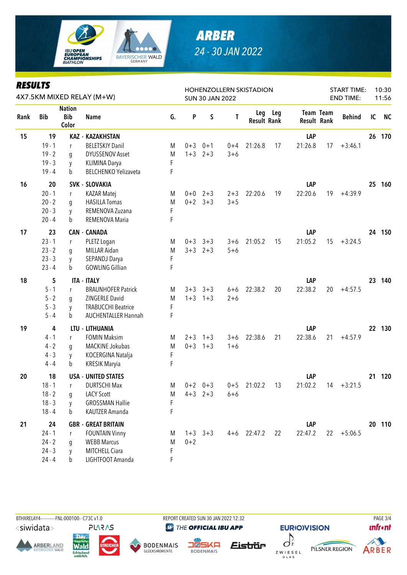

## *ARBER 24 - 30 JAN 2022*

| <b>RESULTS</b><br>4X7.5KM MIXED RELAY (M+W) |            |                                      |                             |    | <b>SUN 30 JAN 2022</b> |             | HOHENZOLLERN SKISTADION |                    | <b>START TIME:</b><br><b>END TIME:</b> | 10:30<br>11:56     |                  |               |    |           |
|---------------------------------------------|------------|--------------------------------------|-----------------------------|----|------------------------|-------------|-------------------------|--------------------|----------------------------------------|--------------------|------------------|---------------|----|-----------|
| Rank                                        | <b>Bib</b> | <b>Nation</b><br><b>Bib</b><br>Color | <b>Name</b>                 | G. | P                      | S           | Τ                       | <b>Result Rank</b> | Leg Leg                                | <b>Result Rank</b> | <b>Team Team</b> | <b>Behind</b> | IC | <b>NC</b> |
| 15                                          | 19         |                                      | <b>KAZ - KAZAKHSTAN</b>     |    |                        |             |                         |                    |                                        | LAP                |                  |               |    | 26 170    |
|                                             | $19 - 1$   | r                                    | <b>BELETSKIY Danil</b>      | M  | $0 + 3$                | $0 + 1$     | $0 + 4$                 | 21:26.8            | 17                                     | 21:26.8            | 17               | $+3:46.1$     |    |           |
|                                             | $19 - 2$   | g                                    | <b>DYUSSENOV Asset</b>      | M  | $1 + 3$                | $2 + 3$     | $3 + 6$                 |                    |                                        |                    |                  |               |    |           |
|                                             | $19 - 3$   | y                                    | KLIMINA Darya               | F  |                        |             |                         |                    |                                        |                    |                  |               |    |           |
|                                             | $19 - 4$   | b                                    | <b>BELCHENKO Yelizaveta</b> | F  |                        |             |                         |                    |                                        |                    |                  |               |    |           |
| 16                                          | 20         |                                      | <b>SVK - SLOVAKIA</b>       |    |                        |             |                         |                    |                                        | LAP                |                  |               | 25 | 160       |
|                                             | $20 - 1$   | r                                    | <b>KAZAR Matej</b>          | M  |                        | $0+0$ 2+3   | $2 + 3$                 | 22:20.6            | 19                                     | 22:20.6            | 19               | $+4:39.9$     |    |           |
|                                             | $20 - 2$   | q                                    | <b>HASILLA Tomas</b>        | M  |                        | $0+2$ 3+3   | $3 + 5$                 |                    |                                        |                    |                  |               |    |           |
|                                             | $20 - 3$   | y                                    | REMENOVA Zuzana             | F  |                        |             |                         |                    |                                        |                    |                  |               |    |           |
|                                             | $20 - 4$   | b                                    | REMENOVA Maria              | F  |                        |             |                         |                    |                                        |                    |                  |               |    |           |
| 17                                          | 23         |                                      | <b>CAN - CANADA</b>         |    |                        |             |                         |                    |                                        | LAP                |                  |               |    | 24 150    |
|                                             | $23 - 1$   | r                                    | PLETZ Logan                 | M  | $0 + 3$                | $3 + 3$     | $3 + 6$                 | 21:05.2            | 15                                     | 21:05.2            | 15               | $+3:24.5$     |    |           |
|                                             | $23 - 2$   | g                                    | MILLAR Aidan                | M  |                        | $3+3$ $2+3$ | $5 + 6$                 |                    |                                        |                    |                  |               |    |           |
|                                             | $23 - 3$   | y                                    | SEPANDJ Darya               | F  |                        |             |                         |                    |                                        |                    |                  |               |    |           |
|                                             | $23 - 4$   | b                                    | <b>GOWLING Gillian</b>      | F  |                        |             |                         |                    |                                        |                    |                  |               |    |           |
| 18                                          | 5          |                                      | <b>ITA - ITALY</b>          |    |                        |             |                         |                    |                                        | LAP                |                  |               | 23 | 140       |
|                                             | $5 - 1$    | r                                    | <b>BRAUNHOFER Patrick</b>   | M  | $3 + 3$                | $3 + 3$     | $6 + 6$                 | 22:38.2            | 20                                     | 22:38.2            | 20               | $+4:57.5$     |    |           |
|                                             | $5 - 2$    | g                                    | ZINGERLE David              | M  | $1 + 3$                | $1 + 3$     | $2 + 6$                 |                    |                                        |                    |                  |               |    |           |
|                                             | $5 - 3$    | y                                    | <b>TRABUCCHI Beatrice</b>   | F  |                        |             |                         |                    |                                        |                    |                  |               |    |           |
|                                             | $5 - 4$    | b                                    | <b>AUCHENTALLER Hannah</b>  | F  |                        |             |                         |                    |                                        |                    |                  |               |    |           |
| 19                                          | 4          |                                      | LTU - LITHUANIA             |    |                        |             |                         |                    |                                        | LAP                |                  |               | 22 | 130       |
|                                             | $4 - 1$    | r                                    | <b>FOMIN Maksim</b>         | M  | $2 + 3$                | $1 + 3$     | $3 + 6$                 | 22:38.6            | 21                                     | 22:38.6            | 21               | $+4:57.9$     |    |           |
|                                             | $4 - 2$    | g                                    | MACKINE Jokubas             | M  | $0 + 3$                | $1 + 3$     | $1 + 6$                 |                    |                                        |                    |                  |               |    |           |
|                                             | $4 - 3$    | y                                    | KOCERGINA Natalja           | F  |                        |             |                         |                    |                                        |                    |                  |               |    |           |
|                                             | $4 - 4$    | b                                    | <b>KRESIK Maryia</b>        | F  |                        |             |                         |                    |                                        |                    |                  |               |    |           |
| 20                                          | 18         |                                      | <b>USA - UNITED STATES</b>  |    |                        |             |                         |                    |                                        | LAP                |                  |               | 21 | 120       |
|                                             | $18 - 1$   | r                                    | <b>DURTSCHI Max</b>         | M  | $0 + 2$                | $0 + 3$     | $0 + 5$                 | 21:02.2            | 13                                     | 21:02.2            | 14               | $+3:21.5$     |    |           |
|                                             | $18 - 2$   | q                                    | <b>LACY Scott</b>           | M  |                        | $4+3$ $2+3$ | $6 + 6$                 |                    |                                        |                    |                  |               |    |           |
|                                             | $18 - 3$   | V                                    | <b>GROSSMAN Hallie</b>      | F  |                        |             |                         |                    |                                        |                    |                  |               |    |           |
|                                             | $18 - 4$   | b                                    | KAUTZER Amanda              | F  |                        |             |                         |                    |                                        |                    |                  |               |    |           |
| 21                                          | 24         |                                      | <b>GBR - GREAT BRITAIN</b>  |    |                        |             |                         |                    |                                        | LAP                |                  |               |    | 20 110    |
|                                             | $24 - 1$   | r                                    | <b>FOUNTAIN Vinny</b>       | M  |                        | $1+3$ $3+3$ | $4 + 6$                 | 22:47.2            | 22                                     | 22:47.2            | 22               | $+5:06.5$     |    |           |
|                                             | $24 - 2$   | g                                    | <b>WEBB Marcus</b>          | M  | $0 + 2$                |             |                         |                    |                                        |                    |                  |               |    |           |
|                                             | $24 - 3$   | y                                    | MITCHELL Ciara              | F  |                        |             |                         |                    |                                        |                    |                  |               |    |           |
|                                             | $24 - 4$   | b                                    | LIGHTFOOT Amanda            | F  |                        |             |                         |                    |                                        |                    |                  |               |    |           |



Wald

**Erfrischend** 

**ARBERLAND** 

BTHXRELAY4-----------FNL-000100-- C73C v1.0 REPORT CREATED SUN 30 JAN 2022 12:32 PAGE 3/4 **@ THE OFFICIAL IBU APP** 



**DENWAIS** Eistrür











**BODENMAIS**